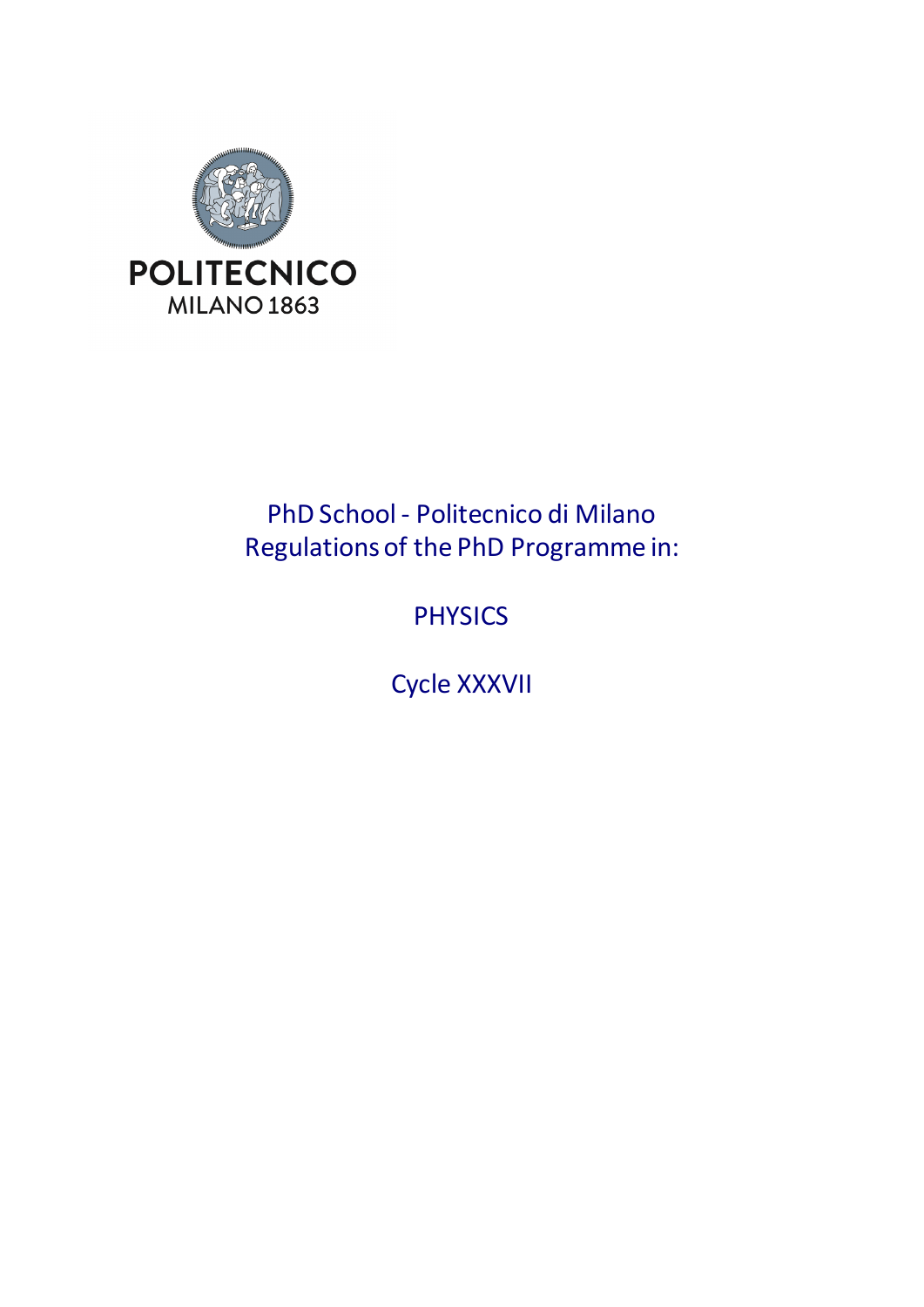

# PhD School - Politecnico di Milano Regulations of the PhD Programme in:

# PHYSICS

Cycle XXXVII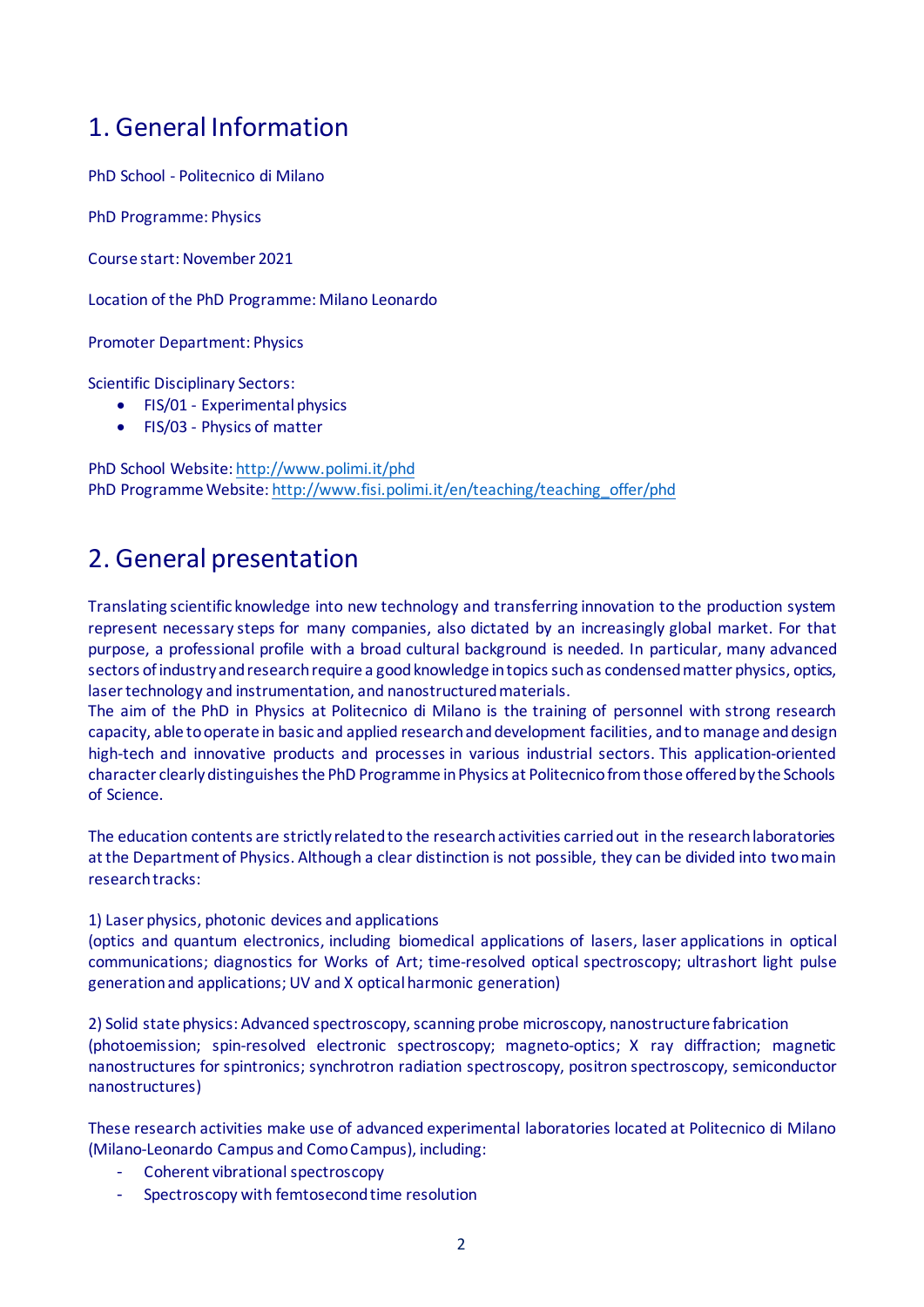## 1. General Information

PhD School - Politecnico di Milano

PhD Programme: Physics

Course start: November 2021

Location of the PhD Programme: Milano Leonardo

Promoter Department: Physics

Scientific Disciplinary Sectors:

- FIS/01 Experimental physics
- FIS/03 Physics of matter

PhD School Website[: http://www.polimi.it/phd](http://www.polimi.it/phd) PhD Programme Website[: http://www.fisi.polimi.it/en/teaching/teaching\\_offer/phd](http://www.fisi.polimi.it/en/teaching/teaching_offer/phd)

## 2. General presentation

Translating scientific knowledge into new technology and transferring innovation to the production system represent necessary steps for many companies, also dictated by an increasingly global market. For that purpose, a professional profile with a broad cultural background is needed. In particular, many advanced sectors of industry and research require a good knowledge in topics such as condensed matter physics, optics, laser technology and instrumentation, and nanostructured materials.

The aim of the PhD in Physics at Politecnico di Milano is the training of personnel with strong research capacity, able to operate in basic and applied research and development facilities, and to manage and design high-tech and innovative products and processes in various industrial sectors. This application-oriented character clearly distinguishes the PhD Programme in Physics at Politecnico from those offered by the Schools of Science.

The education contents are strictly related to the research activities carried out in the research laboratories at the Department of Physics. Although a clear distinction is not possible, they can be divided into two main research tracks:

1) Laser physics, photonic devices and applications

(optics and quantum electronics, including biomedical applications of lasers, laser applications in optical communications; diagnostics for Works of Art; time-resolved optical spectroscopy; ultrashort light pulse generation and applications; UV and X optical harmonic generation)

2) Solid state physics: Advanced spectroscopy, scanning probe microscopy, nanostructure fabrication (photoemission; spin-resolved electronic spectroscopy; magneto-optics; X ray diffraction; magnetic nanostructures for spintronics; synchrotron radiation spectroscopy, positron spectroscopy, semiconductor nanostructures)

These research activities make use of advanced experimental laboratories located at Politecnico di Milano (Milano-Leonardo Campus and Como Campus), including:

- Coherent vibrational spectroscopy
- Spectroscopy with femtosecond time resolution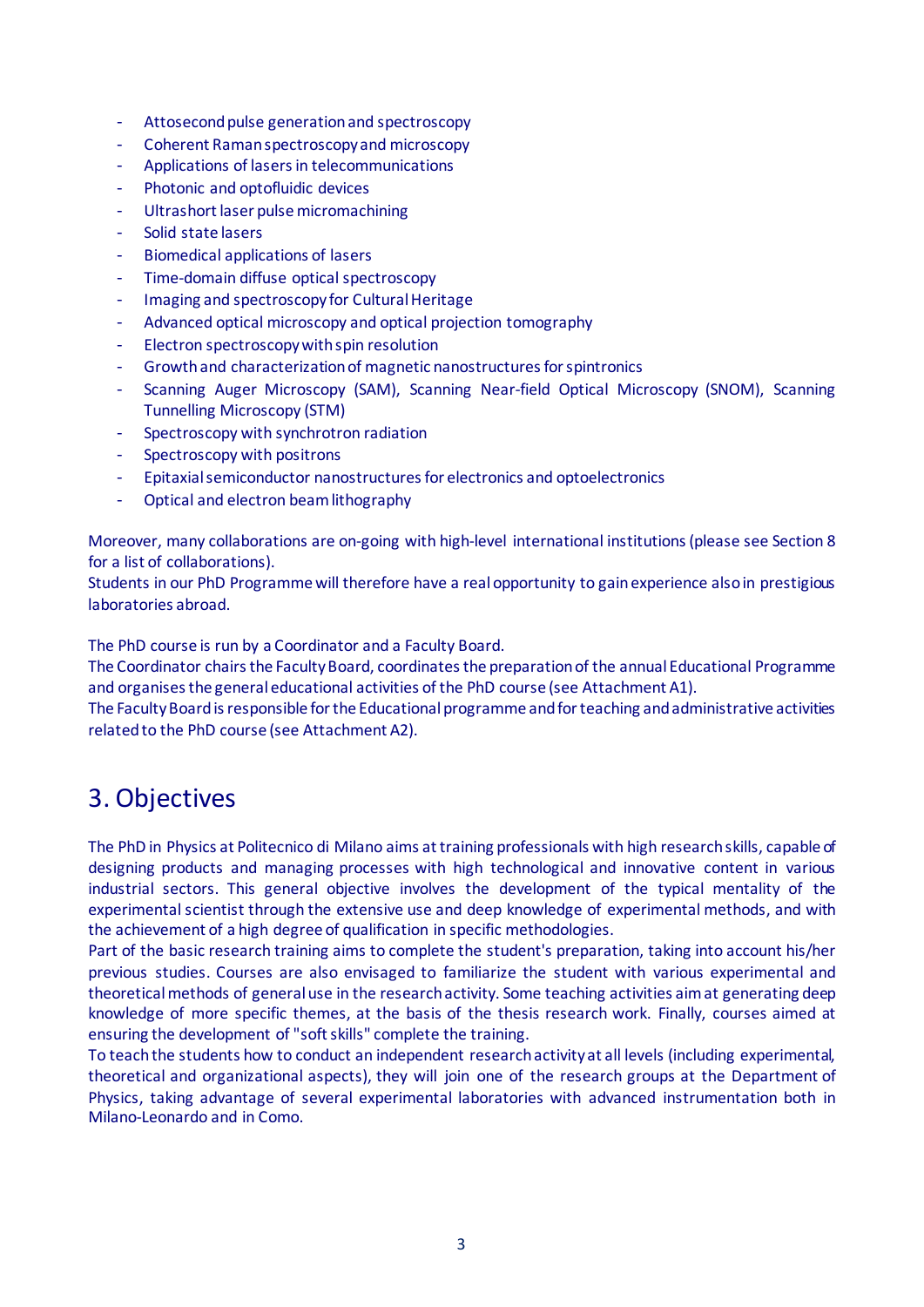- Attosecond pulse generationand spectroscopy
- Coherent Raman spectroscopy and microscopy
- Applications of lasers in telecommunications
- Photonic and optofluidic devices
- Ultrashort laser pulse micromachining
- Solid state lasers
- Biomedical applications of lasers
- Time-domain diffuse optical spectroscopy
- Imaging and spectroscopy for Cultural Heritage
- Advanced optical microscopy and optical projection tomography
- Electron spectroscopy with spin resolution
- Growth and characterization of magnetic nanostructures for spintronics
- Scanning Auger Microscopy (SAM), Scanning Near-field Optical Microscopy (SNOM), Scanning Tunnelling Microscopy (STM)
- Spectroscopy with synchrotron radiation
- Spectroscopy with positrons
- Epitaxial semiconductor nanostructures for electronics and optoelectronics
- Optical and electron beam lithography

Moreover, many collaborations are on-going with high-level international institutions(please see Section 8 for a list of collaborations).

Students in our PhD Programme will therefore have a real opportunity to gain experience also in prestigious laboratories abroad.

The PhD course is run by a Coordinator and a Faculty Board.

The Coordinator chairs the Faculty Board, coordinates the preparation of the annual Educational Programme and organises the general educational activities of the PhD course (see Attachment A1).

The Faculty Board is responsible for the Educational programme and for teaching and administrative activities related to the PhD course (see Attachment A2).

## 3. Objectives

The PhD in Physics at Politecnico di Milano aims attraining professionals with high researchskills, capable of designing products and managing processes with high technological and innovative content in various industrial sectors. This general objective involves the development of the typical mentality of the experimental scientist through the extensive use and deep knowledge of experimental methods, and with the achievement of a high degree of qualification in specific methodologies.

Part of the basic research training aims to complete the student's preparation, taking into account his/her previous studies. Courses are also envisaged to familiarize the student with various experimental and theoretical methods of general use in the research activity. Some teaching activities aim at generating deep knowledge of more specific themes, at the basis of the thesis research work. Finally, courses aimed at ensuring the development of "soft skills" complete the training.

To teach the students how to conduct an independent research activity at all levels (including experimental, theoretical and organizational aspects), they will join one of the research groups at the Department of Physics, taking advantage of several experimental laboratories with advanced instrumentation both in Milano-Leonardo and in Como.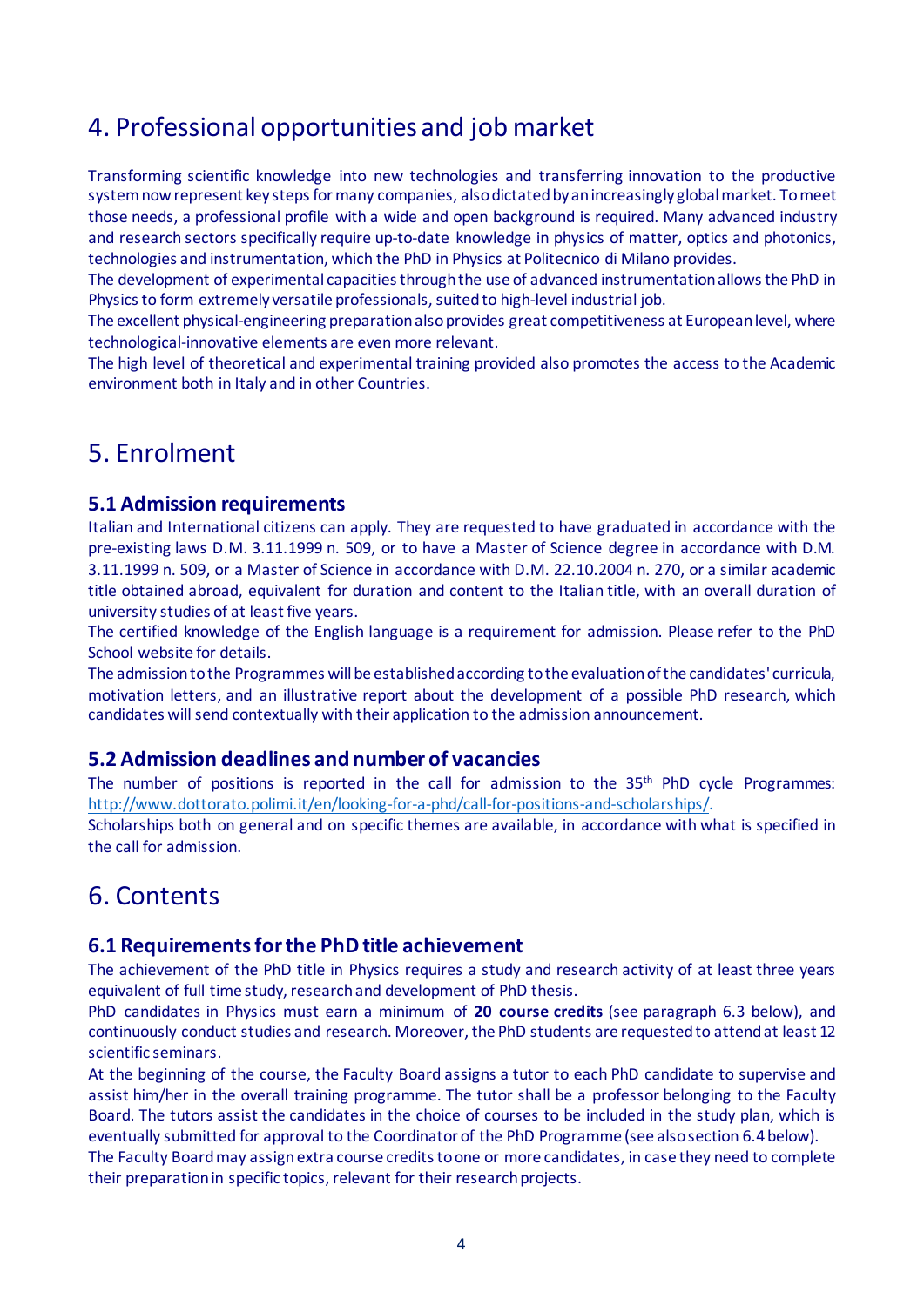## 4. Professional opportunities and job market

Transforming scientific knowledge into new technologies and transferring innovation to the productive system now represent key steps for many companies, also dictated by an increasingly global market. To meet those needs, a professional profile with a wide and open background is required. Many advanced industry and research sectors specifically require up-to-date knowledge in physics of matter, optics and photonics, technologies and instrumentation, which the PhD in Physics at Politecnico di Milano provides.

The development of experimental capacities through the use of advanced instrumentation allows the PhD in Physics to form extremely versatile professionals, suited to high-level industrial job.

The excellent physical-engineering preparation also provides great competitiveness at European level, where technological-innovative elements are even more relevant.

The high level of theoretical and experimental training provided also promotes the access to the Academic environment both in Italy and in other Countries.

## 5. Enrolment

## **5.1 Admission requirements**

Italian and International citizens can apply. They are requested to have graduated in accordance with the pre-existing laws D.M. 3.11.1999 n. 509, or to have a Master of Science degree in accordance with D.M. 3.11.1999 n. 509, or a Master of Science in accordance with D.M. 22.10.2004 n. 270, or a similar academic title obtained abroad, equivalent for duration and content to the Italian title, with an overall duration of university studies of at least five years.

The certified knowledge of the English language is a requirement for admission. Please refer to the PhD School website for details.

The admission to the Programmes will be established according to the evaluation of the candidates' curricula, motivation letters, and an illustrative report about the development of a possible PhD research, which candidates will send contextually with their application to the admission announcement.

### **5.2 Admission deadlines and number of vacancies**

The number of positions is reported in the call for admission to the 35<sup>th</sup> PhD cycle Programmes: [http://www.dottorato.polimi.it/en/looking-for-a-phd/call-for-positions-and-scholarships/.](http://www.dottorato.polimi.it/en/looking-for-a-phd/call-for-positions-and-scholarships/)

Scholarships both on general and on specific themes are available, in accordance with what is specified in the call for admission.

## 6. Contents

## **6.1 Requirements for the PhD title achievement**

The achievement of the PhD title in Physics requires a study and research activity of at least three years equivalent of full time study, research and development of PhD thesis.

PhD candidates in Physics must earn a minimum of **20 course credits** (see paragraph 6.3 below), and continuously conduct studies and research. Moreover, the PhD students are requested to attend at least 12 scientific seminars.

At the beginning of the course, the Faculty Board assigns a tutor to each PhD candidate to supervise and assist him/her in the overall training programme. The tutor shall be a professor belonging to the Faculty Board. The tutors assist the candidates in the choice of courses to be included in the study plan, which is eventually submitted for approval to the Coordinator of the PhD Programme (see also section 6.4 below).

The Faculty Board may assign extra course credits to one or more candidates, in case they need to complete their preparation in specific topics, relevant for their research projects.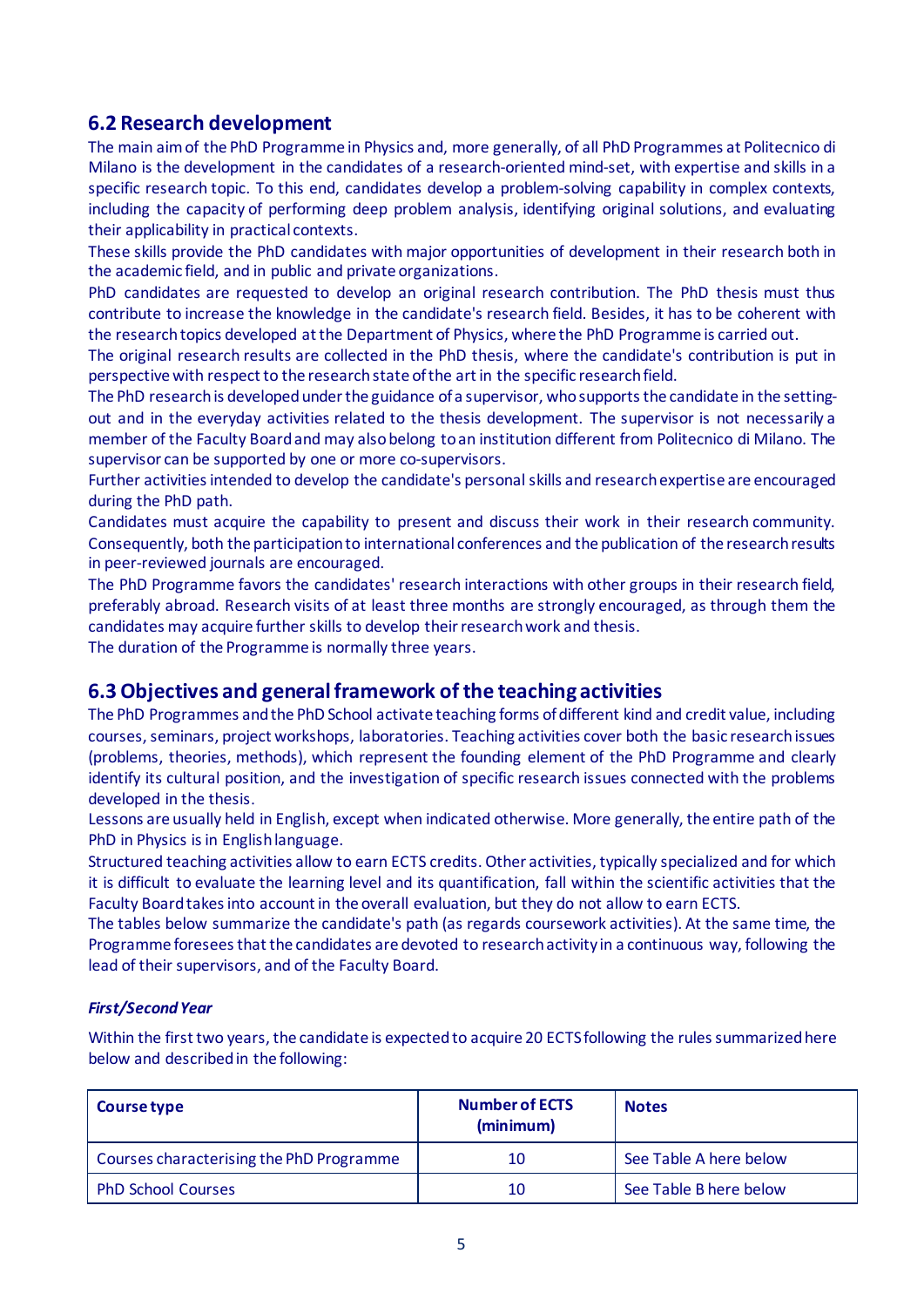## **6.2 Research development**

The main aim of the PhD Programme in Physics and, more generally, of all PhD Programmes at Politecnico di Milano is the development in the candidates of a research-oriented mind-set, with expertise and skills in a specific research topic. To this end, candidates develop a problem-solving capability in complex contexts, including the capacity of performing deep problem analysis, identifying original solutions, and evaluating their applicability in practical contexts.

These skills provide the PhD candidates with major opportunities of development in their research both in the academic field, and in public and private organizations.

PhD candidates are requested to develop an original research contribution. The PhD thesis must thus contribute to increase the knowledge in the candidate's research field. Besides, it has to be coherent with the research topics developed at the Department of Physics, where the PhD Programme is carried out.

The original research results are collected in the PhD thesis, where the candidate's contribution is put in perspective with respect to the research state of the art in the specific research field.

The PhD research is developed under the guidance of a supervisor, who supports the candidate in the settingout and in the everyday activities related to the thesis development. The supervisor is not necessarily a member of the Faculty Boardand may also belong to an institution different from Politecnico di Milano. The supervisor can be supported by one or more co-supervisors.

Further activities intended to develop the candidate's personal skills and research expertise are encouraged during the PhD path.

Candidates must acquire the capability to present and discuss their work in their research community. Consequently, both the participation to international conferences and the publication of the research results in peer-reviewed journals are encouraged.

The PhD Programme favors the candidates' research interactions with other groups in their research field, preferably abroad. Research visits of at least three months are strongly encouraged, as through them the candidates may acquire further skills to develop their research work and thesis.

The duration of the Programme is normally three years.

## **6.3 Objectives and general framework of the teaching activities**

The PhD Programmes and the PhD School activate teaching forms of different kind and credit value, including courses, seminars, project workshops, laboratories. Teaching activities cover both the basic research issues (problems, theories, methods), which represent the founding element of the PhD Programme and clearly identify its cultural position, and the investigation of specific research issues connected with the problems developed in the thesis.

Lessons are usually held in English, except when indicated otherwise. More generally, the entire path of the PhD in Physics is in English language.

Structured teaching activities allow to earn ECTS credits. Other activities, typically specialized and for which it is difficult to evaluate the learning level and its quantification, fall within the scientific activities that the Faculty Boardtakes into account in the overall evaluation, but they do not allow to earn ECTS.

The tables below summarize the candidate's path (as regards coursework activities). At the same time, the Programme foresees that the candidates are devoted to research activity in a continuous way, following the lead of their supervisors, and of the Faculty Board.

### *First/Second Year*

Within the first two years, the candidate is expected to acquire 20 ECTS following the rules summarized here below and described in the following:

| Course type                              | <b>Number of ECTS</b><br>(minimum) | <b>Notes</b>           |
|------------------------------------------|------------------------------------|------------------------|
| Courses characterising the PhD Programme | 10                                 | See Table A here below |
| <b>PhD School Courses</b>                | 10                                 | See Table B here below |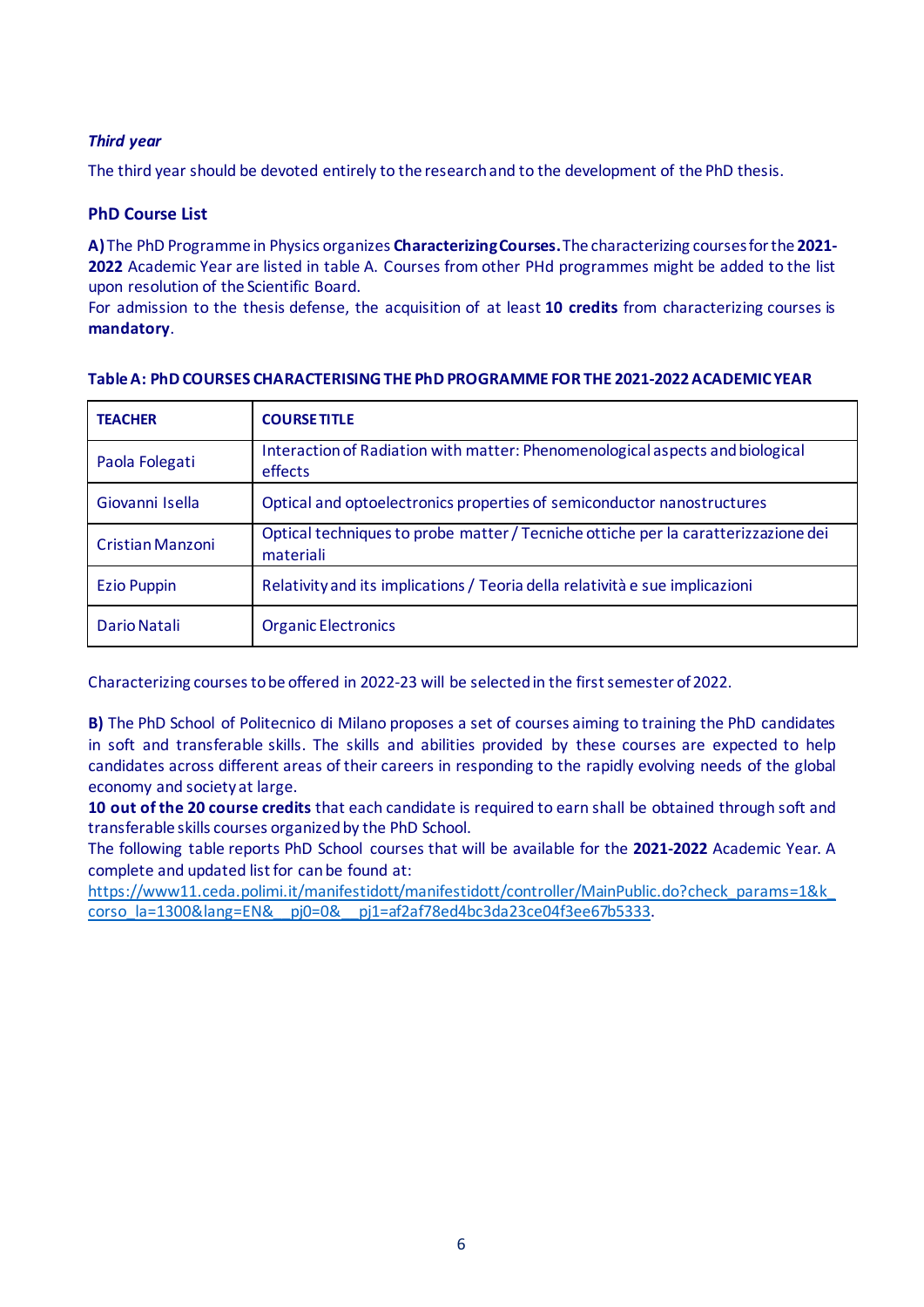### *Third year*

The third year should be devoted entirely to the research and to the development of the PhD thesis.

### **PhD Course List**

**A)**The PhD Programme in Physics organizes **CharacterizingCourses.**The characterizing courses forthe **2021- 2022** Academic Year are listed in table A. Courses from other PHd programmes might be added to the list upon resolution of the Scientific Board.

For admission to the thesis defense, the acquisition of at least **10 credits** from characterizing courses is **mandatory**.

| <b>TEACHER</b>          | <b>COURSE TITLE</b>                                                                             |
|-------------------------|-------------------------------------------------------------------------------------------------|
| Paola Folegati          | Interaction of Radiation with matter: Phenomenological aspects and biological<br>effects        |
| Giovanni Isella         | Optical and optoelectronics properties of semiconductor nanostructures                          |
| <b>Cristian Manzoni</b> | Optical techniques to probe matter / Tecniche ottiche per la caratterizzazione dei<br>materiali |
| <b>Ezio Puppin</b>      | Relativity and its implications / Teoria della relatività e sue implicazioni                    |
| Dario Natali            | <b>Organic Electronics</b>                                                                      |

#### **Table A: PhD COURSES CHARACTERISING THE PhD PROGRAMME FOR THE 2021-2022 ACADEMIC YEAR**

Characterizing courses to be offered in 2022-23 will be selected in the first semester of 2022.

**B)** The PhD School of Politecnico di Milano proposes a set of courses aiming to training the PhD candidates in soft and transferable skills. The skills and abilities provided by these courses are expected to help candidates across different areas of their careers in responding to the rapidly evolving needs of the global economy and society at large.

**10 out of the 20 course credits** that each candidate is required to earn shall be obtained through soft and transferable skills courses organized by the PhD School.

The following table reports PhD School courses that will be available for the **2021-2022** Academic Year. A complete and updated list for can be found at:

[https://www11.ceda.polimi.it/manifestidott/manifestidott/controller/MainPublic.do?check\\_params=1&k\\_](https://www11.ceda.polimi.it/manifestidott/manifestidott/controller/MainPublic.do?check_params=1&k_corso_la=1300&lang=EN&__pj0=0&__pj1=af2af78ed4bc3da23ce04f3ee67b5333) [corso\\_la=1300&lang=EN&\\_\\_pj0=0&\\_\\_pj1=af2af78ed4bc3da23ce04f3ee67b5333](https://www11.ceda.polimi.it/manifestidott/manifestidott/controller/MainPublic.do?check_params=1&k_corso_la=1300&lang=EN&__pj0=0&__pj1=af2af78ed4bc3da23ce04f3ee67b5333).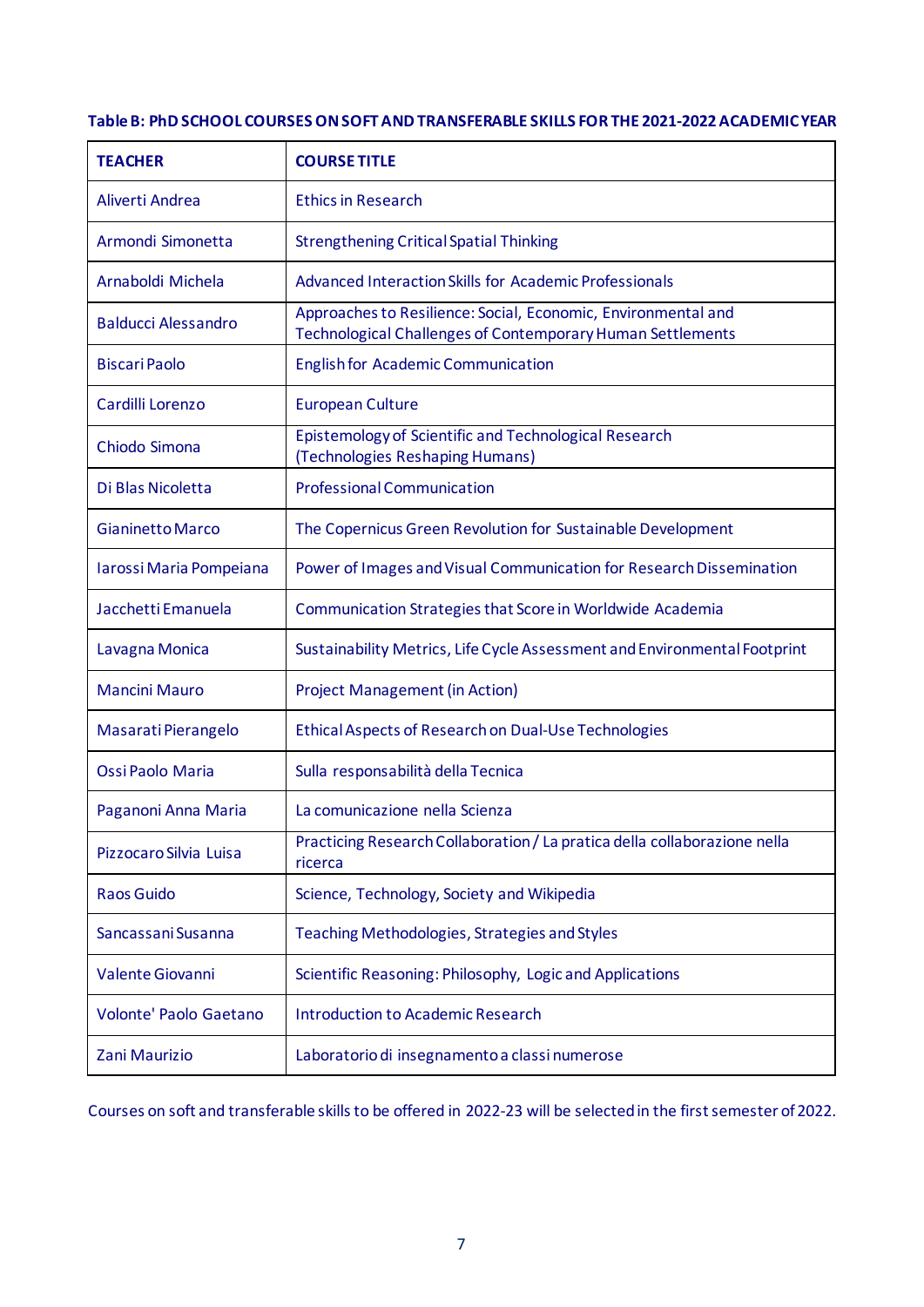### **Table B: PhD SCHOOL COURSES ON SOFT AND TRANSFERABLE SKILLS FOR THE 2021-2022 ACADEMIC YEAR**

| <b>TEACHER</b>                | <b>COURSE TITLE</b>                                                                                                                |
|-------------------------------|------------------------------------------------------------------------------------------------------------------------------------|
| Aliverti Andrea               | <b>Ethics in Research</b>                                                                                                          |
| Armondi Simonetta             | <b>Strengthening Critical Spatial Thinking</b>                                                                                     |
| Arnaboldi Michela             | <b>Advanced Interaction Skills for Academic Professionals</b>                                                                      |
| <b>Balducci Alessandro</b>    | Approaches to Resilience: Social, Economic, Environmental and<br><b>Technological Challenges of Contemporary Human Settlements</b> |
| <b>Biscari Paolo</b>          | <b>English for Academic Communication</b>                                                                                          |
| Cardilli Lorenzo              | <b>European Culture</b>                                                                                                            |
| Chiodo Simona                 | Epistemology of Scientific and Technological Research<br>(Technologies Reshaping Humans)                                           |
| Di Blas Nicoletta             | <b>Professional Communication</b>                                                                                                  |
| <b>Gianinetto Marco</b>       | The Copernicus Green Revolution for Sustainable Development                                                                        |
| Iarossi Maria Pompeiana       | Power of Images and Visual Communication for Research Dissemination                                                                |
| Jacchetti Emanuela            | Communication Strategies that Score in Worldwide Academia                                                                          |
| Lavagna Monica                | Sustainability Metrics, Life Cycle Assessment and Environmental Footprint                                                          |
| <b>Mancini Mauro</b>          | <b>Project Management (in Action)</b>                                                                                              |
| Masarati Pierangelo           | Ethical Aspects of Research on Dual-Use Technologies                                                                               |
| Ossi Paolo Maria              | Sulla responsabilità della Tecnica                                                                                                 |
| Paganoni Anna Maria           | La comunicazione nella Scienza                                                                                                     |
| Pizzocaro Silvia Luisa        | Practicing Research Collaboration / La pratica della collaborazione nella<br>ricerca                                               |
| <b>Raos Guido</b>             | Science, Technology, Society and Wikipedia                                                                                         |
| Sancassani Susanna            | Teaching Methodologies, Strategies and Styles                                                                                      |
| Valente Giovanni              | Scientific Reasoning: Philosophy, Logic and Applications                                                                           |
| <b>Volonte' Paolo Gaetano</b> | <b>Introduction to Academic Research</b>                                                                                           |
| Zani Maurizio                 | Laboratorio di insegnamento a classi numerose                                                                                      |

Courses on soft and transferable skills to be offered in 2022-23 will be selected in the first semester of 2022.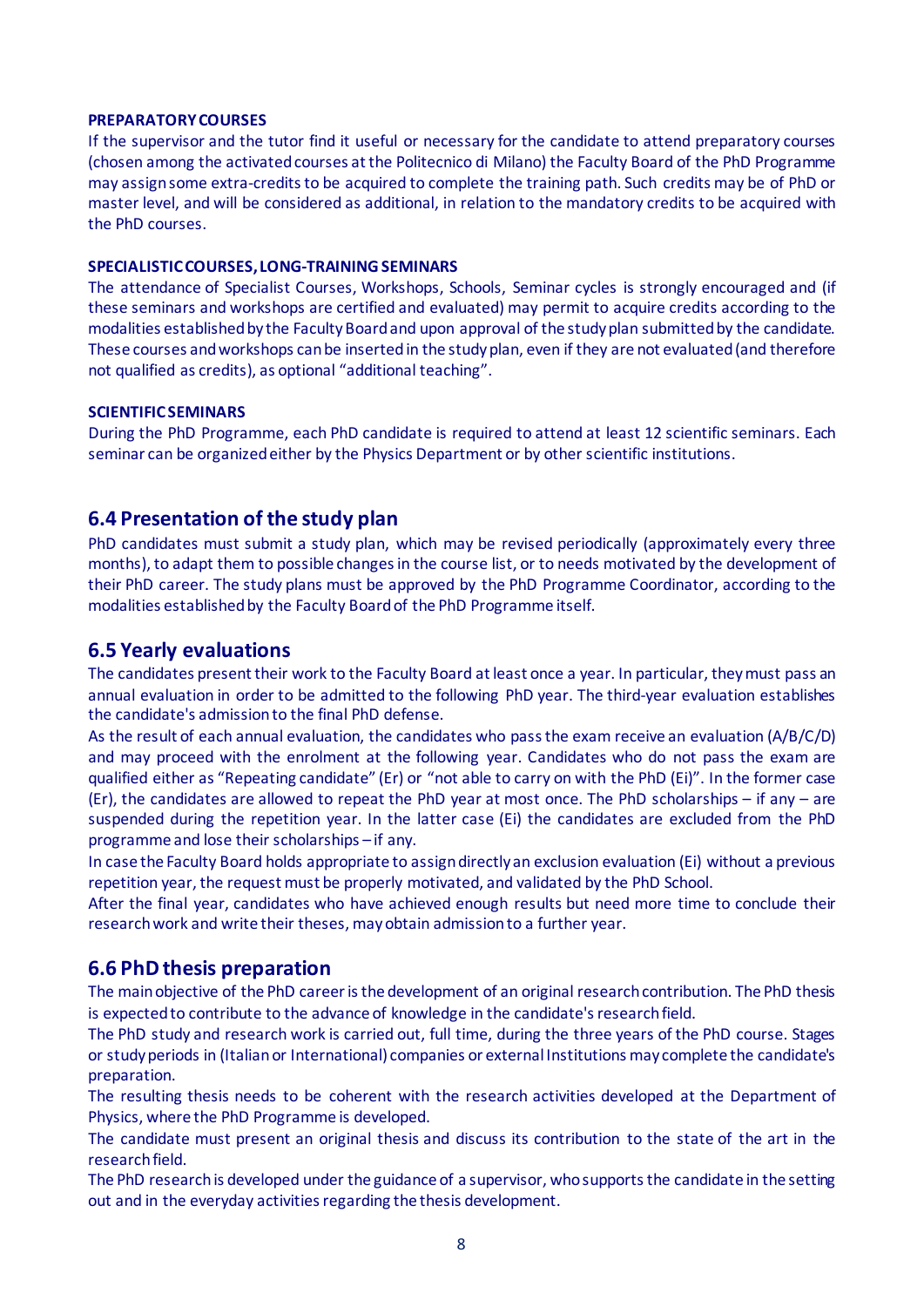#### **PREPARATORY COURSES**

If the supervisor and the tutor find it useful or necessary for the candidate to attend preparatory courses (chosen among the activated courses at the Politecnico di Milano) the Faculty Board of the PhD Programme may assign some extra-credits to be acquired to complete the training path. Such credits may be of PhD or master level, and will be considered as additional, in relation to the mandatory credits to be acquired with the PhD courses.

#### **SPECIALISTIC COURSES, LONG-TRAINING SEMINARS**

The attendance of Specialist Courses, Workshops, Schools, Seminar cycles is strongly encouraged and (if these seminars and workshops are certified and evaluated) may permit to acquire credits according to the modalities established by the Faculty Boardand upon approval of the study plan submitted by the candidate. These courses and workshops can be inserted in the study plan, even if they are not evaluated (and therefore not qualified as credits), as optional "additional teaching".

#### **SCIENTIFICSEMINARS**

During the PhD Programme, each PhD candidate is required to attend at least 12 scientific seminars. Each seminar can be organized either by the Physics Department or by other scientific institutions.

### **6.4 Presentation of the study plan**

PhD candidates must submit a study plan, which may be revised periodically (approximately every three months), to adapt them to possible changes in the course list, or to needs motivated by the development of their PhD career. The study plans must be approved by the PhD Programme Coordinator, according to the modalities established by the Faculty Boardof the PhD Programme itself.

### **6.5 Yearly evaluations**

The candidates present their work to the Faculty Board at least once a year. In particular, theymust pass an annual evaluation in order to be admitted to the following PhD year. The third-year evaluation establishes the candidate's admission to the final PhD defense.

As the result of each annual evaluation, the candidates who pass the exam receive an evaluation (A/B/C/D) and may proceed with the enrolment at the following year. Candidates who do not pass the exam are qualified either as "Repeating candidate" (Er) or "not able to carry on with the PhD (Ei)". In the former case (Er), the candidates are allowed to repeat the PhD year at most once. The PhD scholarships – if any – are suspended during the repetition year. In the latter case (Ei) the candidates are excluded from the PhD programme and lose their scholarships – if any.

In case the Faculty Board holds appropriate to assign directly an exclusion evaluation (Ei) without a previous repetition year, the request must be properly motivated, and validated by the PhD School.

After the final year, candidates who have achieved enough results but need more time to conclude their research work and write their theses, may obtain admission to a further year.

### **6.6 PhD thesis preparation**

The main objective of the PhD career is the development of an original research contribution. The PhD thesis is expected to contribute to the advance of knowledge in the candidate's research field.

The PhD study and research work is carried out, full time, during the three years of the PhD course. Stages or study periods in (Italian or International) companies or external Institutions may complete the candidate's preparation.

The resulting thesis needs to be coherent with the research activities developed at the Department of Physics, where the PhD Programme is developed.

The candidate must present an original thesis and discuss its contribution to the state of the art in the research field.

The PhD research is developed under the guidance of a supervisor, who supports the candidate in the setting out and in the everyday activities regarding the thesis development.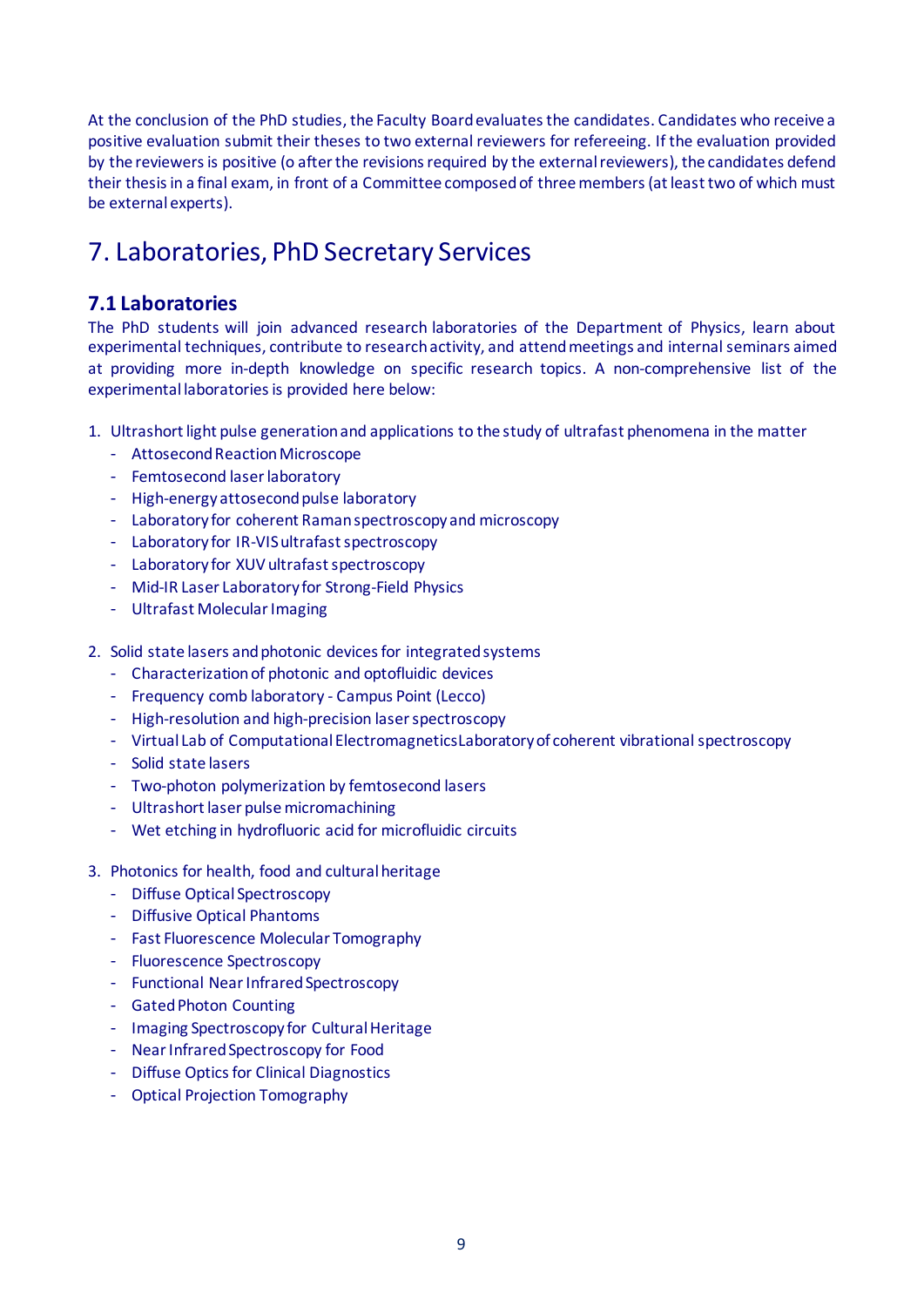At the conclusion of the PhD studies, the Faculty Boardevaluates the candidates. Candidates who receive a positive evaluation submit their theses to two external reviewers for refereeing. If the evaluation provided by the reviewers is positive (o after the revisions required by the external reviewers), the candidates defend their thesis in a final exam, in front of a Committee composed of three members (at least two of which must be external experts).

## 7. Laboratories, PhD Secretary Services

## **7.1 Laboratories**

The PhD students will join advanced research laboratories of the Department of Physics, learn about experimental techniques, contribute to research activity, and attend meetings and internal seminars aimed at providing more in-depth knowledge on specific research topics. A non-comprehensive list of the experimental laboratories is provided here below:

- 1. Ultrashort light pulse generation and applications to the study of ultrafast phenomena in the matter
	- Attosecond Reaction Microscope
	- Femtosecond laser laboratory
	- High-energy attosecond pulse laboratory
	- Laboratory for coherent Raman spectroscopy and microscopy
	- Laboratory for IR-VIS ultrafast spectroscopy
	- Laboratory for XUV ultrafast spectroscopy
	- Mid-IR Laser Laboratory for Strong-Field Physics
	- Ultrafast Molecular Imaging
- 2. Solid state lasers and photonic devices for integrated systems
	- Characterization of photonic and optofluidic devices
	- Frequency comb laboratory Campus Point (Lecco)
	- High-resolution and high-precision laser spectroscopy
	- Virtual Lab of Computational ElectromagneticsLaboratory of coherent vibrational spectroscopy
	- Solid state lasers
	- Two-photon polymerization by femtosecond lasers
	- Ultrashort laser pulse micromachining
	- Wet etching in hydrofluoric acid for microfluidic circuits
- 3. Photonics for health, food and cultural heritage
	- Diffuse Optical Spectroscopy
	- Diffusive Optical Phantoms
	- Fast Fluorescence Molecular Tomography
	- Fluorescence Spectroscopy
	- Functional Near Infrared Spectroscopy
	- Gated Photon Counting
	- Imaging Spectroscopy for Cultural Heritage
	- Near Infrared Spectroscopy for Food
	- Diffuse Optics for Clinical Diagnostics
	- Optical Projection Tomography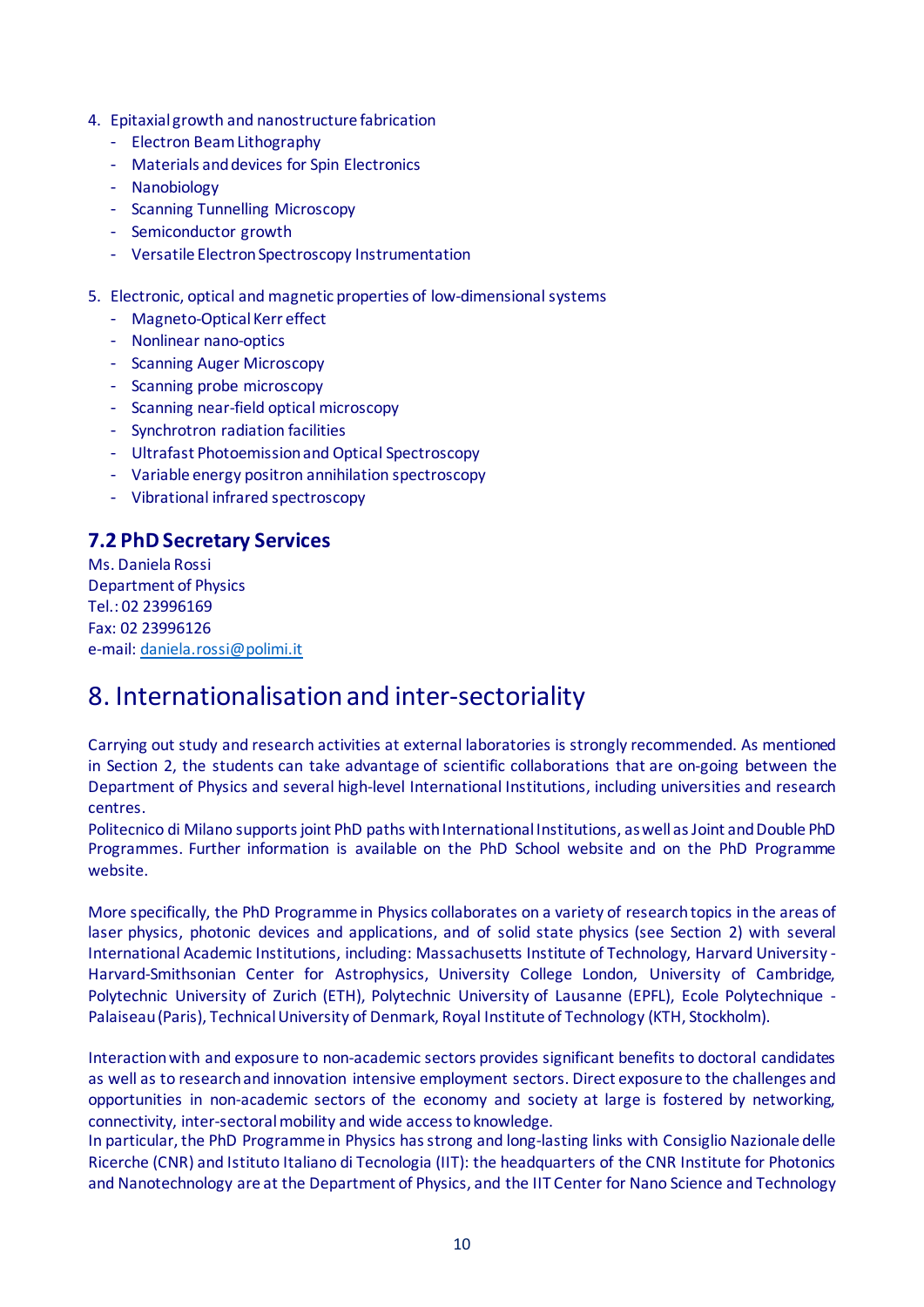- 4. Epitaxial growth and nanostructure fabrication
	- Electron Beam Lithography
	- Materials and devices for Spin Electronics
	- Nanobiology
	- Scanning Tunnelling Microscopy
	- Semiconductor growth
	- Versatile Electron Spectroscopy Instrumentation
- 5. Electronic, optical and magnetic properties of low-dimensional systems
	- Magneto-Optical Kerr effect
	- Nonlinear nano-optics
	- Scanning Auger Microscopy
	- Scanning probe microscopy
	- Scanning near-field optical microscopy
	- Synchrotron radiation facilities
	- Ultrafast Photoemission and Optical Spectroscopy
	- Variable energy positron annihilation spectroscopy
	- Vibrational infrared spectroscopy

## **7.2 PhD Secretary Services**

Ms. Daniela Rossi Department of Physics Tel.: 02 23996169 Fax: 02 23996126 e-mail: [daniela.rossi@polimi.it](mailto:daniela.rossi@polimi.it)

## 8. Internationalisationand inter-sectoriality

Carrying out study and research activities at external laboratories is strongly recommended. As mentioned in Section 2, the students can take advantage of scientific collaborations that are on-going between the Department of Physics and several high-level International Institutions, including universities and research centres.

Politecnico di Milano supports joint PhD paths with International Institutions, as well as Joint and Double PhD Programmes. Further information is available on the PhD School website and on the PhD Programme website.

More specifically, the PhD Programme in Physics collaborates on a variety of research topics in the areas of laser physics, photonic devices and applications, and of solid state physics (see Section 2) with several International Academic Institutions, including: Massachusetts Institute of Technology, Harvard University - Harvard-Smithsonian Center for Astrophysics, University College London, University of Cambridge, Polytechnic University of Zurich (ETH), Polytechnic University of Lausanne (EPFL), Ecole Polytechnique - Palaiseau (Paris), Technical University of Denmark, Royal Institute of Technology (KTH, Stockholm).

Interaction with and exposure to non-academic sectors provides significant benefits to doctoral candidates as well as to research and innovation intensive employment sectors. Direct exposure to the challenges and opportunities in non-academic sectors of the economy and society at large is fostered by networking, connectivity, inter-sectoral mobility and wide access to knowledge.

In particular, the PhD Programme in Physics has strong and long-lasting links with Consiglio Nazionale delle Ricerche (CNR) and Istituto Italiano di Tecnologia (IIT): the headquarters of the CNR Institute for Photonics and Nanotechnology are at the Department of Physics, and the IIT Center for Nano Science and Technology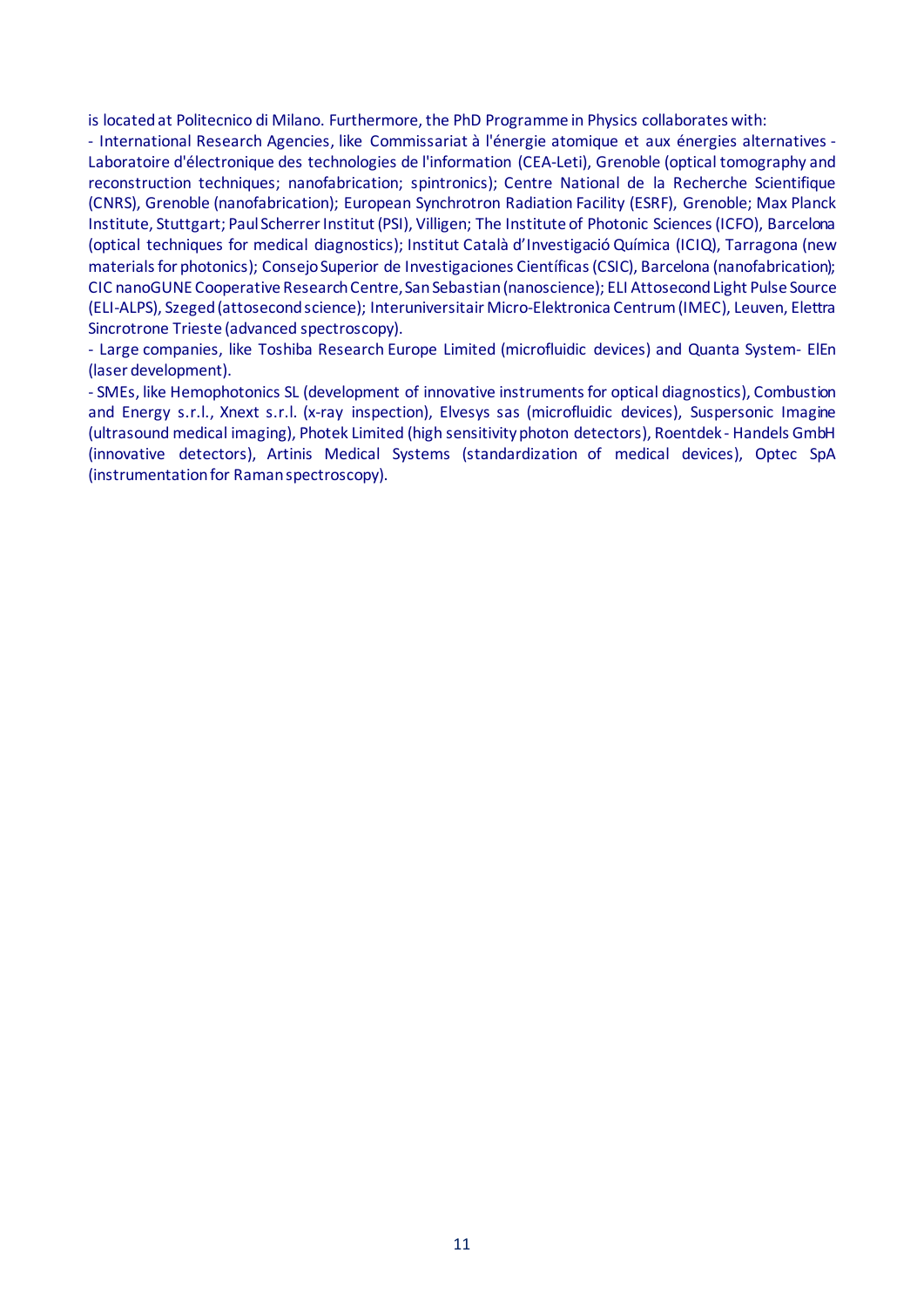is located at Politecnico di Milano. Furthermore, the PhD Programme in Physics collaborates with:

- International Research Agencies, like Commissariat à l'énergie atomique et aux énergies alternatives - Laboratoire d'électronique des technologies de l'information (CEA-Leti), Grenoble (optical tomography and reconstruction techniques; nanofabrication; spintronics); Centre National de la Recherche Scientifique (CNRS), Grenoble (nanofabrication); European Synchrotron Radiation Facility (ESRF), Grenoble; Max Planck Institute, Stuttgart; Paul Scherrer Institut(PSI), Villigen; The Institute of Photonic Sciences (ICFO), Barcelona (optical techniques for medical diagnostics); Institut Català d'Investigació Química (ICIQ), Tarragona (new materials for photonics); Consejo Superior de Investigaciones Científicas (CSIC), Barcelona (nanofabrication); CIC nanoGUNE Cooperative Research Centre, San Sebastian(nanoscience); ELI Attosecond Light Pulse Source (ELI-ALPS), Szeged (attosecond science); Interuniversitair Micro-Elektronica Centrum (IMEC), Leuven, Elettra Sincrotrone Trieste (advanced spectroscopy).

- Large companies, like Toshiba Research Europe Limited (microfluidic devices) and Quanta System- ElEn (laser development).

- SMEs, like Hemophotonics SL (development of innovative instruments for optical diagnostics), Combustion and Energy s.r.l., Xnext s.r.l. (x-ray inspection), Elvesys sas (microfluidic devices), Suspersonic Imagine (ultrasound medical imaging), Photek Limited (high sensitivity photon detectors), Roentdek - Handels GmbH (innovative detectors), Artinis Medical Systems (standardization of medical devices), Optec SpA (instrumentation for Raman spectroscopy).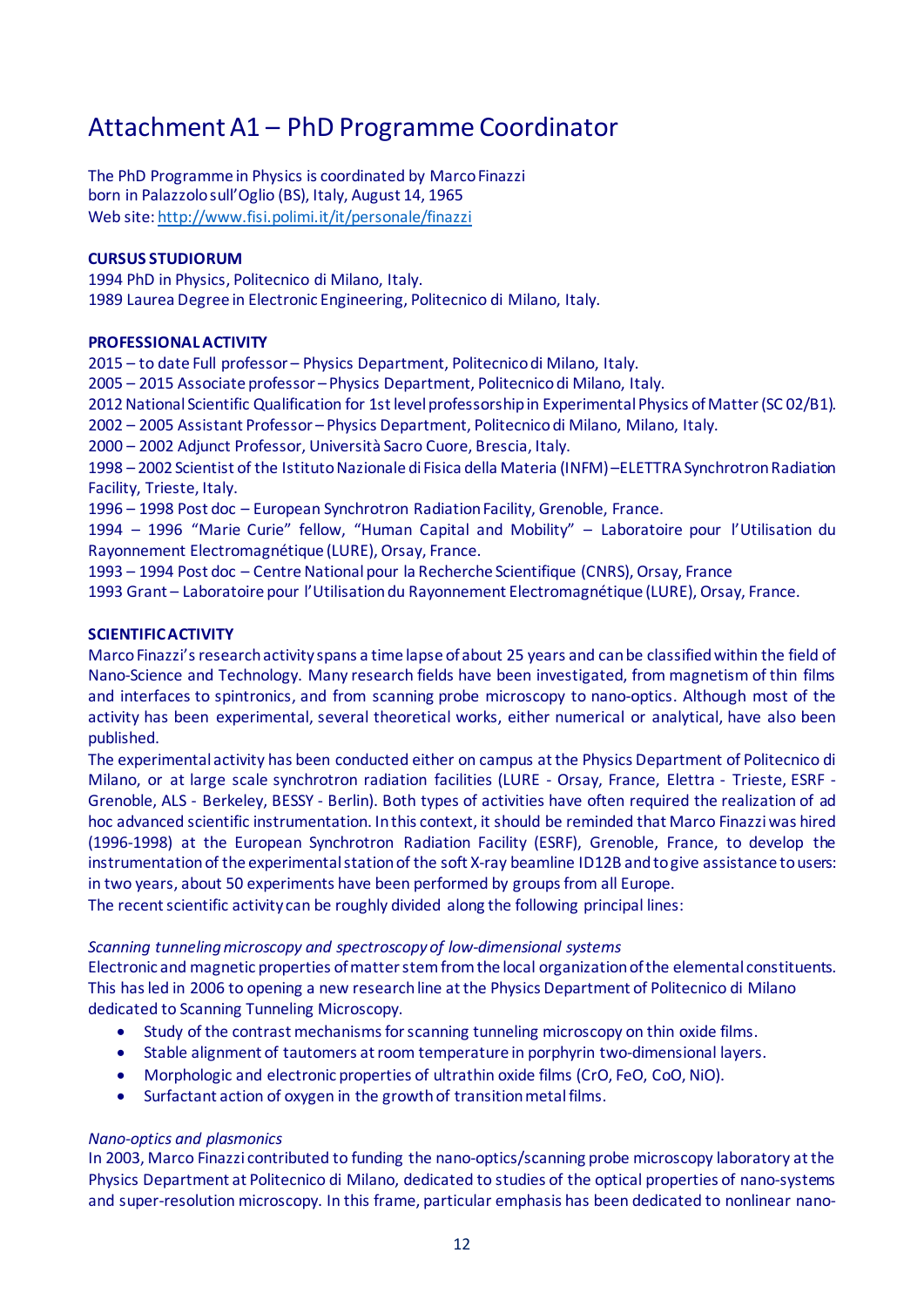## Attachment A1 – PhD Programme Coordinator

The PhD Programme in Physics is coordinated by Marco Finazzi born in Palazzolo sull'Oglio (BS), Italy, August 14, 1965 Web site[: http://www.fisi.polimi.it/it/personale/finazzi](http://www.fisi.polimi.it/it/personale/finazzi)

### **CURSUS STUDIORUM**

1994 PhD in Physics, Politecnico di Milano, Italy. 1989 Laurea Degree in Electronic Engineering, Politecnico di Milano, Italy.

#### **PROFESSIONAL ACTIVITY**

2015 – to date Full professor – Physics Department, Politecnico di Milano, Italy.

2005 – 2015 Associate professor – Physics Department, Politecnico di Milano, Italy.

2012 National Scientific Qualification for 1st level professorship in Experimental Physics of Matter (SC 02/B1).

2002 – 2005 Assistant Professor – Physics Department, Politecnico di Milano, Milano, Italy.

2000 – 2002 Adjunct Professor, Università Sacro Cuore, Brescia, Italy.

1998 – 2002 Scientist of the Istituto Nazionale di Fisica della Materia (INFM) –ELETTRA SynchrotronRadiation Facility, Trieste, Italy.

1996 – 1998 Post doc – European Synchrotron Radiation Facility, Grenoble, France.

1994 – 1996 "Marie Curie" fellow, "Human Capital and Mobility" – Laboratoire pour l'Utilisation du Rayonnement Electromagnétique (LURE), Orsay, France.

1993 – 1994 Post doc – Centre National pour la Recherche Scientifique (CNRS), Orsay, France

1993 Grant – Laboratoire pour l'Utilisation du Rayonnement Electromagnétique (LURE), Orsay, France.

### **SCIENTIFIC ACTIVITY**

Marco Finazzi's research activity spans a time lapse of about 25 years and can be classified within the field of Nano-Science and Technology. Many research fields have been investigated, from magnetism of thin films and interfaces to spintronics, and from scanning probe microscopy to nano-optics. Although most of the activity has been experimental, several theoretical works, either numerical or analytical, have also been published.

The experimental activity has been conducted either on campus at the Physics Department of Politecnico di Milano, or at large scale synchrotron radiation facilities (LURE - Orsay, France, Elettra - Trieste, ESRF - Grenoble, ALS - Berkeley, BESSY - Berlin). Both types of activities have often required the realization of ad hoc advanced scientific instrumentation. In this context, it should be reminded that Marco Finazzi was hired (1996-1998) at the European Synchrotron Radiation Facility (ESRF), Grenoble, France, to develop the instrumentation of the experimental station of the soft X-ray beamline ID12B and to give assistance to users: in two years, about 50 experiments have been performed by groups from all Europe.

The recent scientific activity can be roughly divided along the following principal lines:

#### *Scanning tunneling microscopy and spectroscopy of low-dimensional systems*

Electronic and magnetic properties of matter stem from the local organization of the elemental constituents. This has led in 2006 to opening a new research line at the Physics Department of Politecnico di Milano dedicated to Scanning Tunneling Microscopy.

- Study of the contrast mechanisms for scanning tunneling microscopy on thin oxide films.
- Stable alignment of tautomers at room temperature in porphyrin two-dimensional layers.
- Morphologic and electronic properties of ultrathin oxide films (CrO, FeO, CoO, NiO).
- Surfactant action of oxygen in the growth of transition metal films.

### *Nano-optics and plasmonics*

In 2003, Marco Finazzi contributed to funding the nano-optics/scanning probe microscopy laboratory at the Physics Department at Politecnico di Milano, dedicated to studies of the optical properties of nano-systems and super-resolution microscopy. In this frame, particular emphasis has been dedicated to nonlinear nano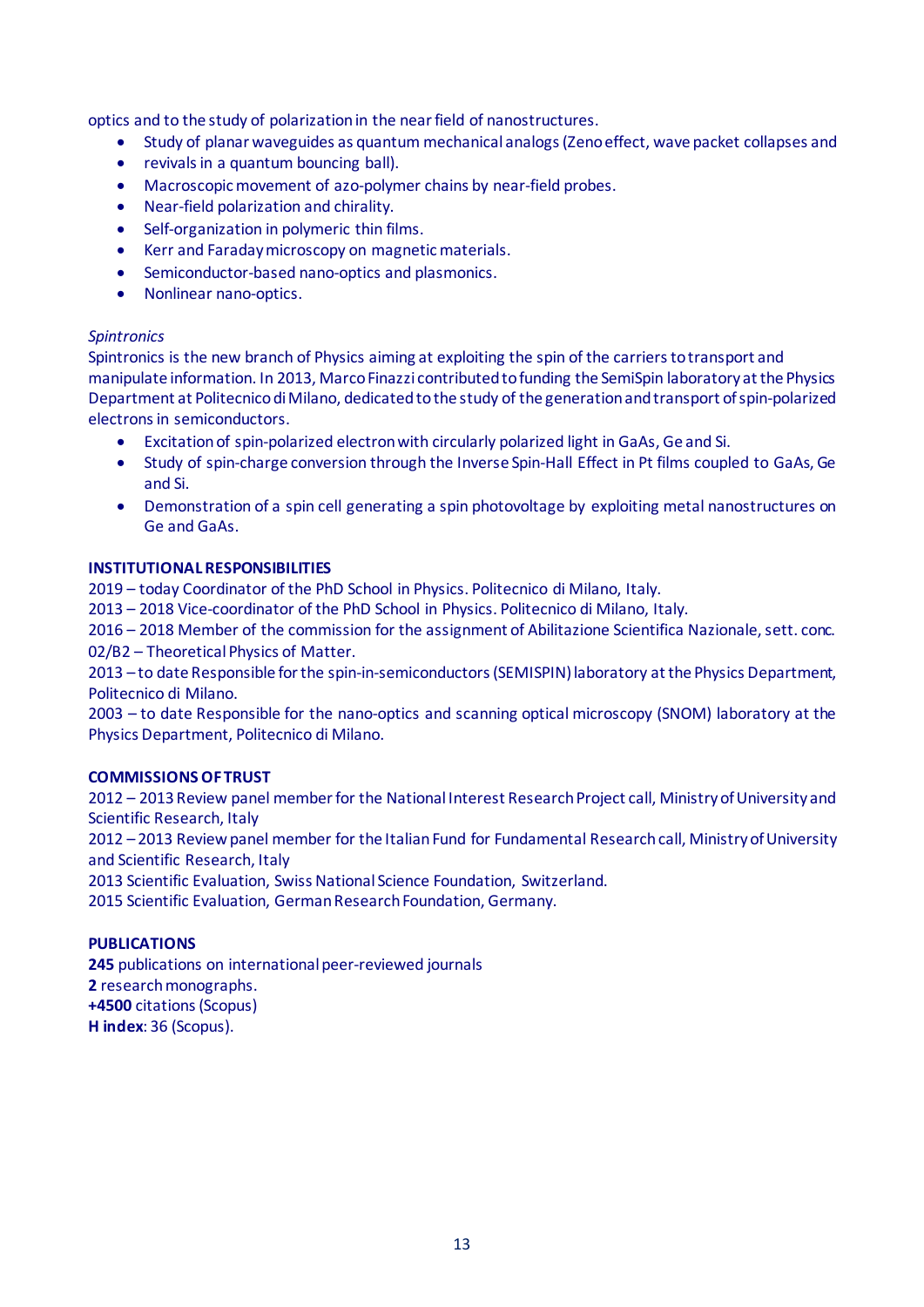optics and to the study of polarization in the near field of nanostructures.

- Study of planar waveguides as quantum mechanical analogs (Zeno effect, wave packet collapses and
- revivals in a quantum bouncing ball).
- Macroscopic movement of azo-polymer chains by near-field probes.
- Near-field polarization and chirality.
- Self-organization in polymeric thin films.
- Kerr and Faraday microscopy on magnetic materials.
- Semiconductor-based nano-optics and plasmonics.
- Nonlinear nano-optics.

#### *Spintronics*

Spintronics is the new branch of Physics aiming at exploiting the spin of the carriers to transport and manipulate information. In 2013, Marco Finazzi contributed to funding the SemiSpin laboratory at the Physics Department at Politecnico di Milano, dedicated to the study of the generation and transport of spin-polarized electrons in semiconductors.

- Excitation of spin-polarized electron with circularly polarized light in GaAs, Ge and Si.
- Study of spin-charge conversion through the Inverse Spin-Hall Effect in Pt films coupled to GaAs, Ge and Si.
- Demonstration of a spin cell generating a spin photovoltage by exploiting metal nanostructures on Ge and GaAs.

#### **INSTITUTIONAL RESPONSIBILITIES**

2019 – today Coordinator of the PhD School in Physics. Politecnico di Milano, Italy.

2013 – 2018 Vice-coordinator of the PhD School in Physics. Politecnico di Milano, Italy.

2016 – 2018 Member of the commission for the assignment of Abilitazione Scientifica Nazionale, sett. conc. 02/B2 – Theoretical Physics of Matter.

2013 – to date Responsible for the spin-in-semiconductors (SEMISPIN) laboratory at the Physics Department, Politecnico di Milano.

2003 – to date Responsible for the nano-optics and scanning optical microscopy (SNOM) laboratory at the Physics Department, Politecnico di Milano.

#### **COMMISSIONS OF TRUST**

2012 – 2013 Review panel member for the National Interest Research Project call, Ministry of University and Scientific Research, Italy

2012 – 2013 Review panel member for the Italian Fund for Fundamental Research call, Ministry of University and Scientific Research, Italy

2013 Scientific Evaluation, Swiss National Science Foundation, Switzerland.

2015 Scientific Evaluation, German Research Foundation, Germany.

### **PUBLICATIONS**

**245** publications on international peer-reviewed journals **2** research monographs. **+4500** citations (Scopus) **H index**: 36 (Scopus).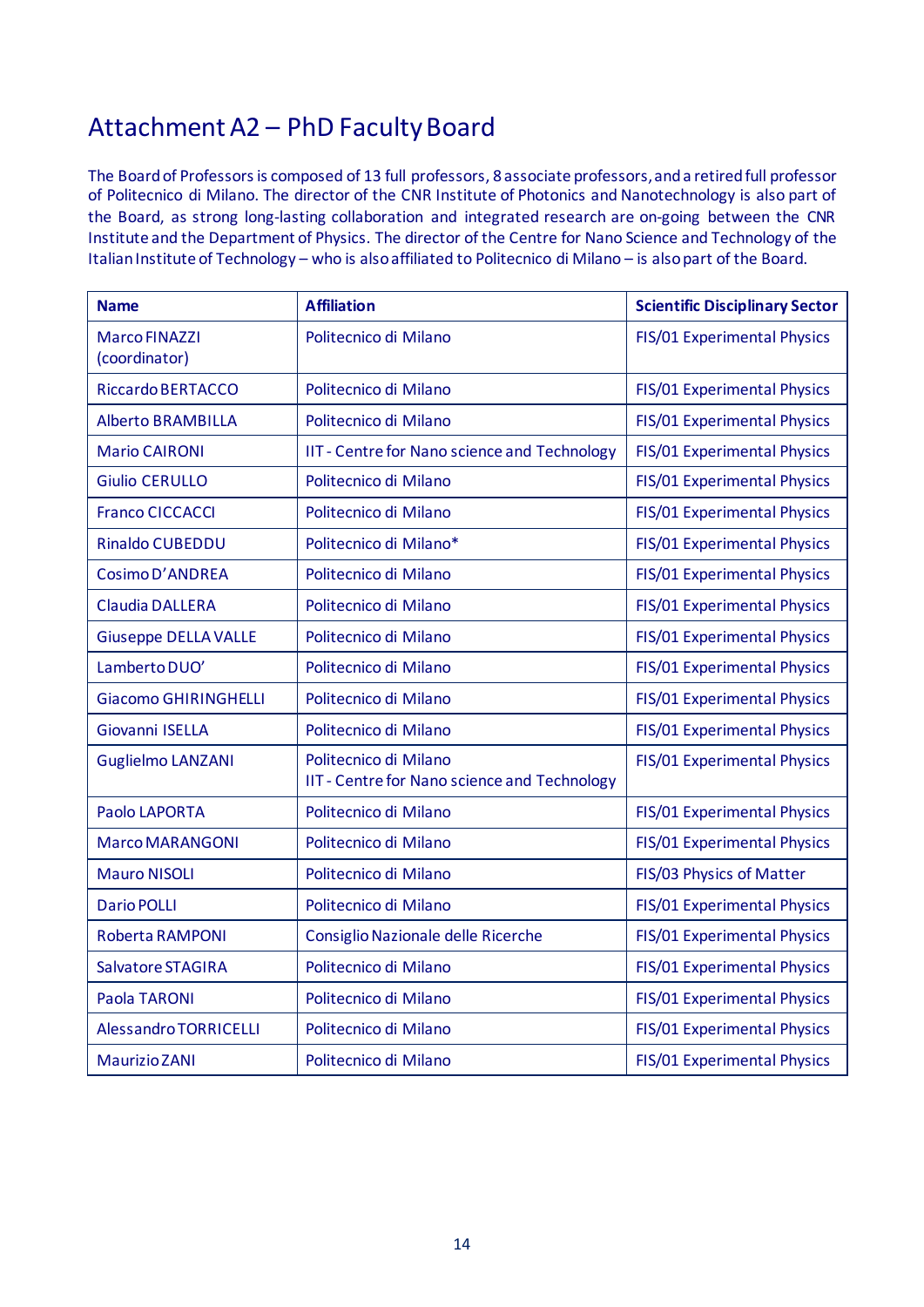## Attachment A2 – PhD Faculty Board

The Board of Professors is composed of 13 full professors, 8 associate professors, and a retired full professor of Politecnico di Milano. The director of the CNR Institute of Photonics and Nanotechnology is also part of the Board, as strong long-lasting collaboration and integrated research are on-going between the CNR Institute and the Department of Physics. The director of the Centre for Nano Science and Technology of the Italian Institute of Technology – who is also affiliated to Politecnico di Milano – is also part of the Board.

| <b>Name</b>                           | <b>Affiliation</b>                                                           | <b>Scientific Disciplinary Sector</b> |
|---------------------------------------|------------------------------------------------------------------------------|---------------------------------------|
| <b>Marco FINAZZI</b><br>(coordinator) | Politecnico di Milano                                                        | FIS/01 Experimental Physics           |
| <b>Riccardo BERTACCO</b>              | Politecnico di Milano                                                        | FIS/01 Experimental Physics           |
| <b>Alberto BRAMBILLA</b>              | Politecnico di Milano                                                        | FIS/01 Experimental Physics           |
| <b>Mario CAIRONI</b>                  | IIT - Centre for Nano science and Technology                                 | FIS/01 Experimental Physics           |
| <b>Giulio CERULLO</b>                 | Politecnico di Milano                                                        | FIS/01 Experimental Physics           |
| <b>Franco CICCACCI</b>                | Politecnico di Milano                                                        | FIS/01 Experimental Physics           |
| <b>Rinaldo CUBEDDU</b>                | Politecnico di Milano*                                                       | FIS/01 Experimental Physics           |
| Cosimo D'ANDREA                       | Politecnico di Milano                                                        | FIS/01 Experimental Physics           |
| <b>Claudia DALLERA</b>                | Politecnico di Milano                                                        | FIS/01 Experimental Physics           |
| <b>Giuseppe DELLA VALLE</b>           | Politecnico di Milano                                                        | FIS/01 Experimental Physics           |
| Lamberto DUO'                         | Politecnico di Milano                                                        | FIS/01 Experimental Physics           |
| <b>Giacomo GHIRINGHELLI</b>           | Politecnico di Milano                                                        | FIS/01 Experimental Physics           |
| Giovanni ISELLA                       | Politecnico di Milano                                                        | FIS/01 Experimental Physics           |
| <b>Guglielmo LANZANI</b>              | Politecnico di Milano<br><b>IIT - Centre for Nano science and Technology</b> | FIS/01 Experimental Physics           |
| Paolo LAPORTA                         | Politecnico di Milano                                                        | FIS/01 Experimental Physics           |
| <b>Marco MARANGONI</b>                | Politecnico di Milano                                                        | FIS/01 Experimental Physics           |
| <b>Mauro NISOLI</b>                   | Politecnico di Milano                                                        | FIS/03 Physics of Matter              |
| <b>Dario POLLI</b>                    | Politecnico di Milano                                                        | FIS/01 Experimental Physics           |
| Roberta RAMPONI                       | Consiglio Nazionale delle Ricerche                                           | FIS/01 Experimental Physics           |
| Salvatore STAGIRA                     | Politecnico di Milano                                                        | FIS/01 Experimental Physics           |
| Paola TARONI                          | Politecnico di Milano                                                        | FIS/01 Experimental Physics           |
| Alessandro TORRICELLI                 | Politecnico di Milano                                                        | FIS/01 Experimental Physics           |
| <b>Maurizio ZANI</b>                  | Politecnico di Milano                                                        | FIS/01 Experimental Physics           |